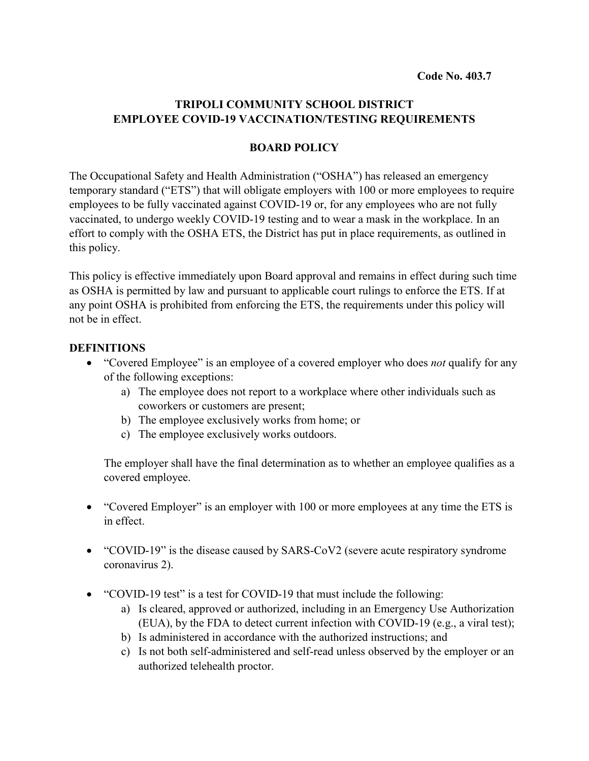#### **TRIPOLI COMMUNITY SCHOOL DISTRICT EMPLOYEE COVID-19 VACCINATION/TESTING REQUIREMENTS**

#### **BOARD POLICY**

The Occupational Safety and Health Administration ("OSHA") has released an emergency temporary standard ("ETS") that will obligate employers with 100 or more employees to require employees to be fully vaccinated against COVID-19 or, for any employees who are not fully vaccinated, to undergo weekly COVID-19 testing and to wear a mask in the workplace. In an effort to comply with the OSHA ETS, the District has put in place requirements, as outlined in this policy.

This policy is effective immediately upon Board approval and remains in effect during such time as OSHA is permitted by law and pursuant to applicable court rulings to enforce the ETS. If at any point OSHA is prohibited from enforcing the ETS, the requirements under this policy will not be in effect.

#### **DEFINITIONS**

- "Covered Employee" is an employee of a covered employer who does *not* qualify for any of the following exceptions:
	- a) The employee does not report to a workplace where other individuals such as coworkers or customers are present;
	- b) The employee exclusively works from home; or
	- c) The employee exclusively works outdoors.

The employer shall have the final determination as to whether an employee qualifies as a covered employee.

- "Covered Employer" is an employer with 100 or more employees at any time the ETS is in effect.
- "COVID-19" is the disease caused by SARS-CoV2 (severe acute respiratory syndrome coronavirus 2).
- "COVID-19 test" is a test for COVID-19 that must include the following:
	- a) Is cleared, approved or authorized, including in an Emergency Use Authorization (EUA), by the FDA to detect current infection with COVID-19 (e.g., a viral test);
	- b) Is administered in accordance with the authorized instructions; and
	- c) Is not both self-administered and self-read unless observed by the employer or an authorized telehealth proctor.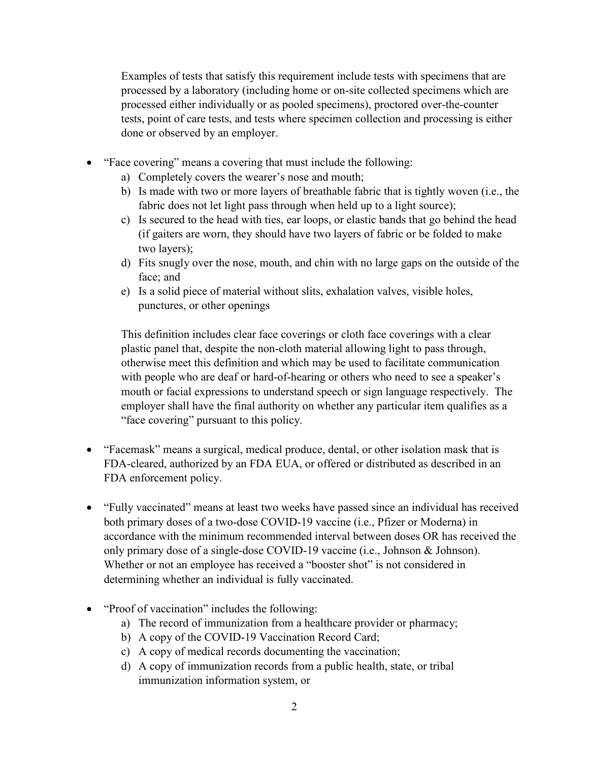Examples of tests that satisfy this requirement include tests with specimens that are processed by a laboratory (including home or on-site collected specimens which are processed either individually or as pooled specimens), proctored over-the-counter tests, point of care tests, and tests where specimen collection and processing is either done or observed by an employer.

- "Face covering" means a covering that must include the following:
	- a) Completely covers the wearer's nose and mouth;
	- b) Is made with two or more layers of breathable fabric that is tightly woven (i.e., the fabric does not let light pass through when held up to a light source);
	- c) Is secured to the head with ties, ear loops, or elastic bands that go behind the head (if gaiters are worn, they should have two layers of fabric or be folded to make two layers);
	- d) Fits snugly over the nose, mouth, and chin with no large gaps on the outside of the face; and
	- e) Is a solid piece of material without slits, exhalation valves, visible holes, punctures, or other openings

This definition includes clear face coverings or cloth face coverings with a clear plastic panel that, despite the non-cloth material allowing light to pass through, otherwise meet this definition and which may be used to facilitate communication with people who are deaf or hard-of-hearing or others who need to see a speaker's mouth or facial expressions to understand speech or sign language respectively. The employer shall have the final authority on whether any particular item qualifies as a "face covering" pursuant to this policy.

- "Facemask" means a surgical, medical produce, dental, or other isolation mask that is FDA-cleared, authorized by an FDA EUA, or offered or distributed as described in an FDA enforcement policy.
- "Fully vaccinated" means at least two weeks have passed since an individual has received both primary doses of a two-dose COVID-19 vaccine (i.e., Pfizer or Moderna) in accordance with the minimum recommended interval between doses OR has received the only primary dose of a single-dose COVID-19 vaccine (i.e., Johnson & Johnson). Whether or not an employee has received a "booster shot" is not considered in determining whether an individual is fully vaccinated.
- "Proof of vaccination" includes the following:
	- a) The record of immunization from a healthcare provider or pharmacy;
	- b) A copy of the COVID-19 Vaccination Record Card;
	- c) A copy of medical records documenting the vaccination;
	- d) A copy of immunization records from a public health, state, or tribal immunization information system, or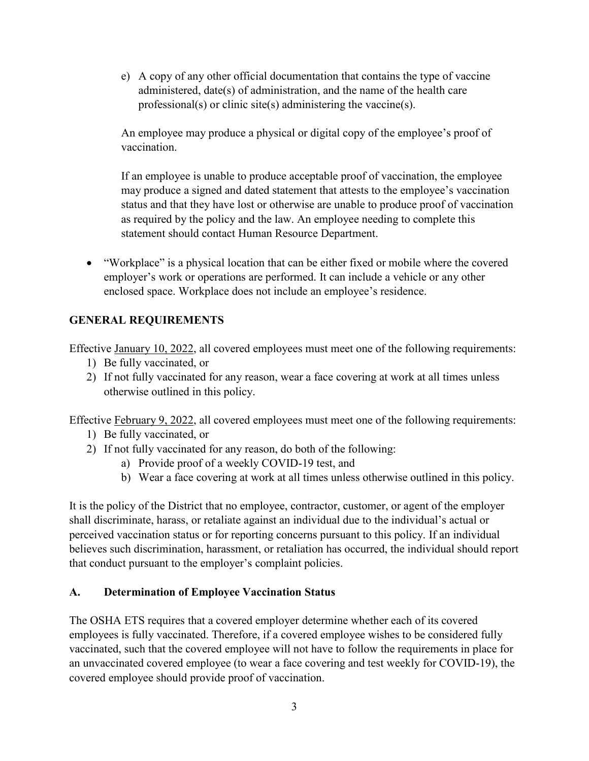e) A copy of any other official documentation that contains the type of vaccine administered, date(s) of administration, and the name of the health care professional(s) or clinic site(s) administering the vaccine(s).

An employee may produce a physical or digital copy of the employee's proof of vaccination.

If an employee is unable to produce acceptable proof of vaccination, the employee may produce a signed and dated statement that attests to the employee's vaccination status and that they have lost or otherwise are unable to produce proof of vaccination as required by the policy and the law. An employee needing to complete this statement should contact Human Resource Department.

• "Workplace" is a physical location that can be either fixed or mobile where the covered employer's work or operations are performed. It can include a vehicle or any other enclosed space. Workplace does not include an employee's residence.

# **GENERAL REQUIREMENTS**

Effective January 10, 2022, all covered employees must meet one of the following requirements:

- 1) Be fully vaccinated, or
- 2) If not fully vaccinated for any reason, wear a face covering at work at all times unless otherwise outlined in this policy.

Effective February 9, 2022, all covered employees must meet one of the following requirements:

- 1) Be fully vaccinated, or
- 2) If not fully vaccinated for any reason, do both of the following:
	- a) Provide proof of a weekly COVID-19 test, and
	- b) Wear a face covering at work at all times unless otherwise outlined in this policy.

It is the policy of the District that no employee, contractor, customer, or agent of the employer shall discriminate, harass, or retaliate against an individual due to the individual's actual or perceived vaccination status or for reporting concerns pursuant to this policy. If an individual believes such discrimination, harassment, or retaliation has occurred, the individual should report that conduct pursuant to the employer's complaint policies.

## **A. Determination of Employee Vaccination Status**

The OSHA ETS requires that a covered employer determine whether each of its covered employees is fully vaccinated. Therefore, if a covered employee wishes to be considered fully vaccinated, such that the covered employee will not have to follow the requirements in place for an unvaccinated covered employee (to wear a face covering and test weekly for COVID-19), the covered employee should provide proof of vaccination.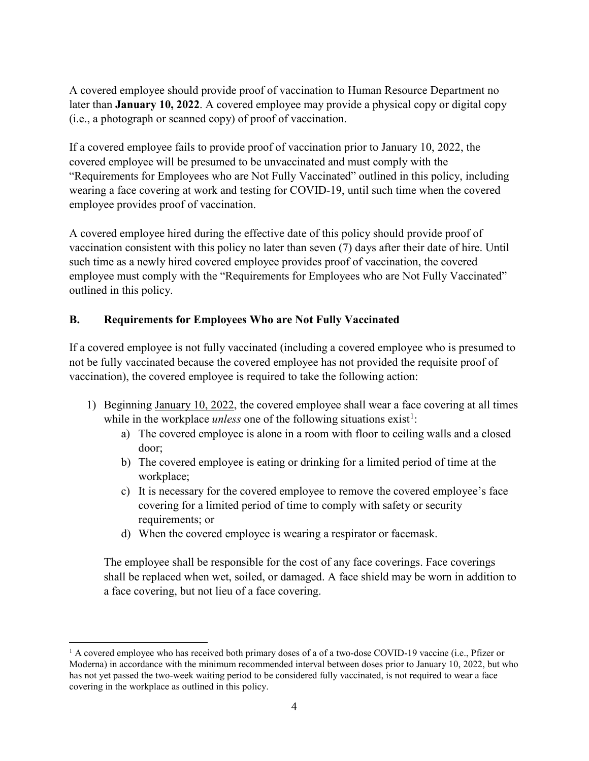A covered employee should provide proof of vaccination to Human Resource Department no later than **January 10, 2022**. A covered employee may provide a physical copy or digital copy (i.e., a photograph or scanned copy) of proof of vaccination.

If a covered employee fails to provide proof of vaccination prior to January 10, 2022, the covered employee will be presumed to be unvaccinated and must comply with the "Requirements for Employees who are Not Fully Vaccinated" outlined in this policy, including wearing a face covering at work and testing for COVID-19, until such time when the covered employee provides proof of vaccination.

A covered employee hired during the effective date of this policy should provide proof of vaccination consistent with this policy no later than seven (7) days after their date of hire. Until such time as a newly hired covered employee provides proof of vaccination, the covered employee must comply with the "Requirements for Employees who are Not Fully Vaccinated" outlined in this policy.

### **B. Requirements for Employees Who are Not Fully Vaccinated**

If a covered employee is not fully vaccinated (including a covered employee who is presumed to not be fully vaccinated because the covered employee has not provided the requisite proof of vaccination), the covered employee is required to take the following action:

- 1) Beginning January 10, 2022, the covered employee shall wear a face covering at all times while in the workplace *unless* one of the following situations  $exist!$ :
	- a) The covered employee is alone in a room with floor to ceiling walls and a closed door;
	- b) The covered employee is eating or drinking for a limited period of time at the workplace;
	- c) It is necessary for the covered employee to remove the covered employee's face covering for a limited period of time to comply with safety or security requirements; or
	- d) When the covered employee is wearing a respirator or facemask.

The employee shall be responsible for the cost of any face coverings. Face coverings shall be replaced when wet, soiled, or damaged. A face shield may be worn in addition to a face covering, but not lieu of a face covering.

<span id="page-3-0"></span><sup>&</sup>lt;sup>1</sup> A covered employee who has received both primary doses of a of a two-dose COVID-19 vaccine (i.e., Pfizer or Moderna) in accordance with the minimum recommended interval between doses prior to January 10, 2022, but who has not yet passed the two-week waiting period to be considered fully vaccinated, is not required to wear a face covering in the workplace as outlined in this policy.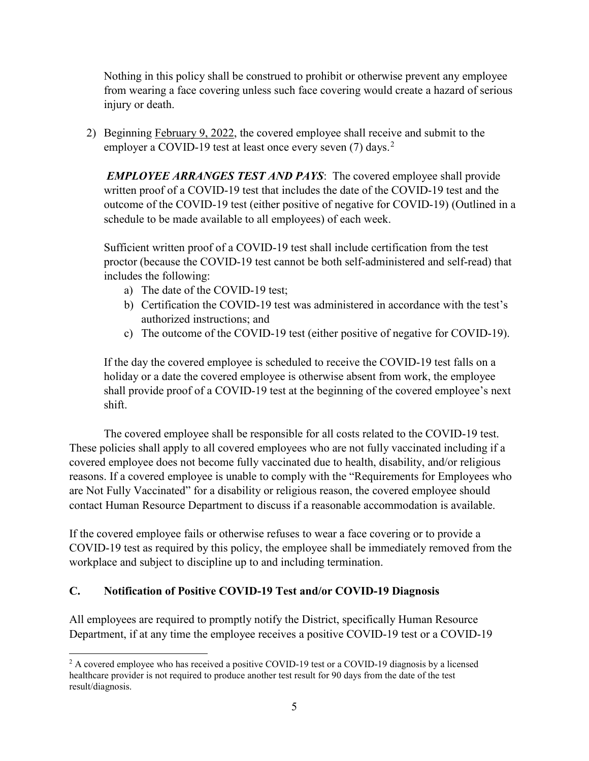Nothing in this policy shall be construed to prohibit or otherwise prevent any employee from wearing a face covering unless such face covering would create a hazard of serious injury or death.

2) Beginning February 9, 2022, the covered employee shall receive and submit to the employer a COVID-19 test at least once every seven  $(7)$  days.<sup>[2](#page-4-0)</sup>

*EMPLOYEE ARRANGES TEST AND PAYS*: The covered employee shall provide written proof of a COVID-19 test that includes the date of the COVID-19 test and the outcome of the COVID-19 test (either positive of negative for COVID-19) (Outlined in a schedule to be made available to all employees) of each week.

Sufficient written proof of a COVID-19 test shall include certification from the test proctor (because the COVID-19 test cannot be both self-administered and self-read) that includes the following:

- a) The date of the COVID-19 test;
- b) Certification the COVID-19 test was administered in accordance with the test's authorized instructions; and
- c) The outcome of the COVID-19 test (either positive of negative for COVID-19).

If the day the covered employee is scheduled to receive the COVID-19 test falls on a holiday or a date the covered employee is otherwise absent from work, the employee shall provide proof of a COVID-19 test at the beginning of the covered employee's next shift.

The covered employee shall be responsible for all costs related to the COVID-19 test. These policies shall apply to all covered employees who are not fully vaccinated including if a covered employee does not become fully vaccinated due to health, disability, and/or religious reasons. If a covered employee is unable to comply with the "Requirements for Employees who are Not Fully Vaccinated" for a disability or religious reason, the covered employee should contact Human Resource Department to discuss if a reasonable accommodation is available.

If the covered employee fails or otherwise refuses to wear a face covering or to provide a COVID-19 test as required by this policy, the employee shall be immediately removed from the workplace and subject to discipline up to and including termination.

#### **C. Notification of Positive COVID-19 Test and/or COVID-19 Diagnosis**

All employees are required to promptly notify the District, specifically Human Resource Department, if at any time the employee receives a positive COVID-19 test or a COVID-19

<span id="page-4-0"></span><sup>&</sup>lt;sup>2</sup> A covered employee who has received a positive COVID-19 test or a COVID-19 diagnosis by a licensed healthcare provider is not required to produce another test result for 90 days from the date of the test result/diagnosis.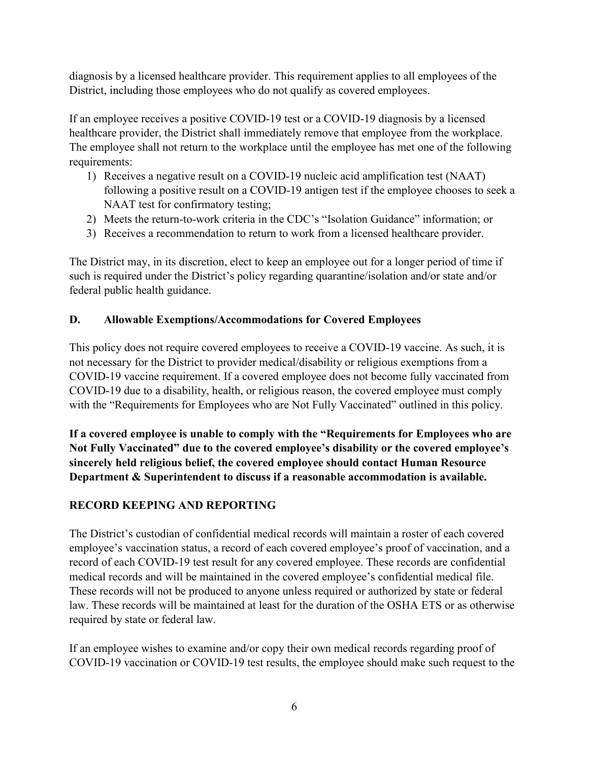diagnosis by a licensed healthcare provider. This requirement applies to all employees of the District, including those employees who do not qualify as covered employees.

If an employee receives a positive COVID-19 test or a COVID-19 diagnosis by a licensed healthcare provider, the District shall immediately remove that employee from the workplace. The employee shall not return to the workplace until the employee has met one of the following requirements:

- 1) Receives a negative result on a COVID-19 nucleic acid amplification test (NAAT) following a positive result on a COVID-19 antigen test if the employee chooses to seek a NAAT test for confirmatory testing;
- 2) Meets the return-to-work criteria in the CDC's "Isolation Guidance" information; or
- 3) Receives a recommendation to return to work from a licensed healthcare provider.

The District may, in its discretion, elect to keep an employee out for a longer period of time if such is required under the District's policy regarding quarantine/isolation and/or state and/or federal public health guidance.

### **D. Allowable Exemptions/Accommodations for Covered Employees**

This policy does not require covered employees to receive a COVID-19 vaccine. As such, it is not necessary for the District to provider medical/disability or religious exemptions from a COVID-19 vaccine requirement. If a covered employee does not become fully vaccinated from COVID-19 due to a disability, health, or religious reason, the covered employee must comply with the "Requirements for Employees who are Not Fully Vaccinated" outlined in this policy.

**If a covered employee is unable to comply with the "Requirements for Employees who are Not Fully Vaccinated" due to the covered employee's disability or the covered employee's sincerely held religious belief, the covered employee should contact Human Resource Department & Superintendent to discuss if a reasonable accommodation is available.** 

## **RECORD KEEPING AND REPORTING**

The District's custodian of confidential medical records will maintain a roster of each covered employee's vaccination status, a record of each covered employee's proof of vaccination, and a record of each COVID-19 test result for any covered employee. These records are confidential medical records and will be maintained in the covered employee's confidential medical file. These records will not be produced to anyone unless required or authorized by state or federal law. These records will be maintained at least for the duration of the OSHA ETS or as otherwise required by state or federal law.

If an employee wishes to examine and/or copy their own medical records regarding proof of COVID-19 vaccination or COVID-19 test results, the employee should make such request to the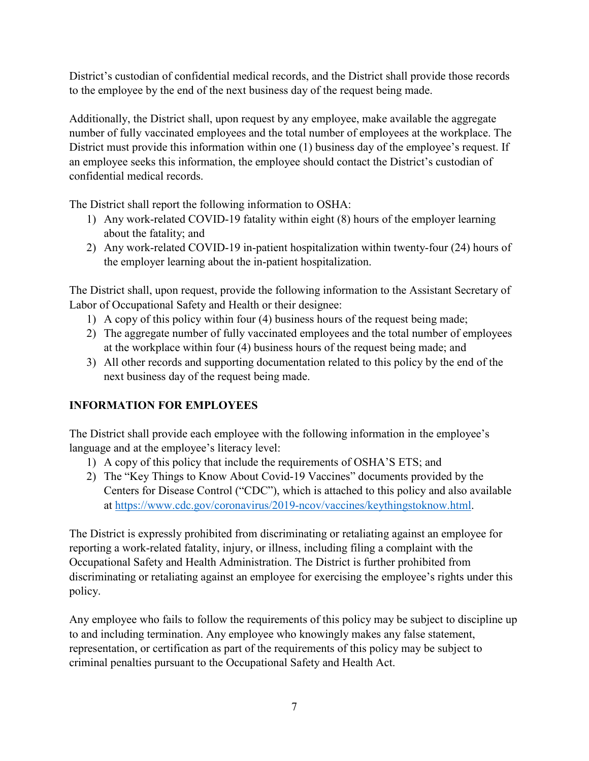District's custodian of confidential medical records, and the District shall provide those records to the employee by the end of the next business day of the request being made.

Additionally, the District shall, upon request by any employee, make available the aggregate number of fully vaccinated employees and the total number of employees at the workplace. The District must provide this information within one (1) business day of the employee's request. If an employee seeks this information, the employee should contact the District's custodian of confidential medical records.

The District shall report the following information to OSHA:

- 1) Any work-related COVID-19 fatality within eight (8) hours of the employer learning about the fatality; and
- 2) Any work-related COVID-19 in-patient hospitalization within twenty-four (24) hours of the employer learning about the in-patient hospitalization.

The District shall, upon request, provide the following information to the Assistant Secretary of Labor of Occupational Safety and Health or their designee:

- 1) A copy of this policy within four (4) business hours of the request being made;
- 2) The aggregate number of fully vaccinated employees and the total number of employees at the workplace within four (4) business hours of the request being made; and
- 3) All other records and supporting documentation related to this policy by the end of the next business day of the request being made.

# **INFORMATION FOR EMPLOYEES**

The District shall provide each employee with the following information in the employee's language and at the employee's literacy level:

- 1) A copy of this policy that include the requirements of OSHA'S ETS; and
- 2) The "Key Things to Know About Covid-19 Vaccines" documents provided by the Centers for Disease Control ("CDC"), which is attached to this policy and also available at [https://www.cdc.gov/coronavirus/2019-ncov/vaccines/keythingstoknow.html.](https://www.cdc.gov/coronavirus/2019-ncov/vaccines/keythingstoknow.html)

The District is expressly prohibited from discriminating or retaliating against an employee for reporting a work-related fatality, injury, or illness, including filing a complaint with the Occupational Safety and Health Administration. The District is further prohibited from discriminating or retaliating against an employee for exercising the employee's rights under this policy.

Any employee who fails to follow the requirements of this policy may be subject to discipline up to and including termination. Any employee who knowingly makes any false statement, representation, or certification as part of the requirements of this policy may be subject to criminal penalties pursuant to the Occupational Safety and Health Act.